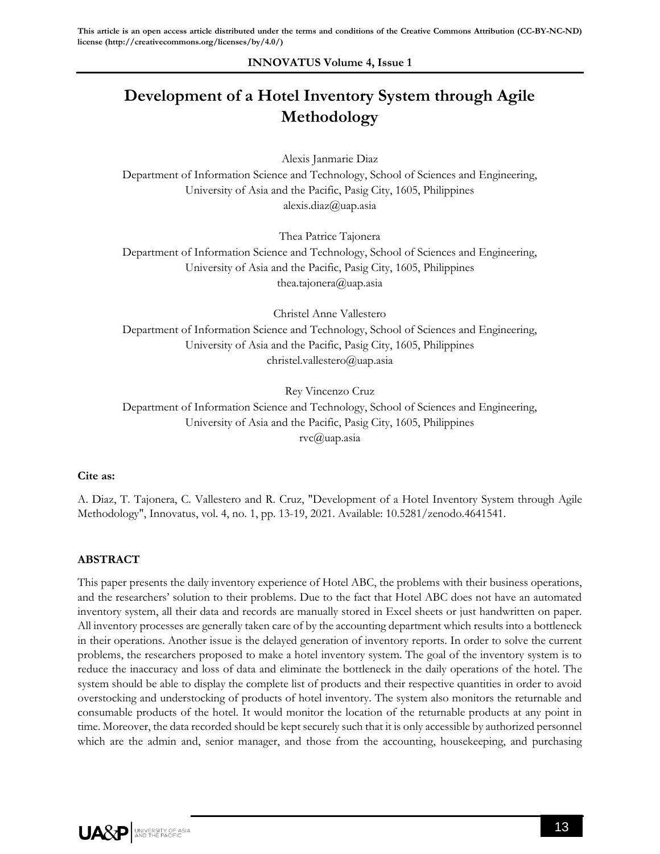## **INNOVATUS Volume 4, Issue 1**

# **Development of a Hotel Inventory System through Agile Methodology**

Alexis Janmarie Diaz

Department of Information Science and Technology, School of Sciences and Engineering, University of Asia and the Pacific, Pasig City, 1605, Philippines alexis.diaz@uap.asia

Thea Patrice Tajonera

Department of Information Science and Technology, School of Sciences and Engineering, University of Asia and the Pacific, Pasig City, 1605, Philippines thea.tajonera@uap.asia

Christel Anne Vallestero Department of Information Science and Technology, School of Sciences and Engineering, University of Asia and the Pacific, Pasig City, 1605, Philippines christel.vallestero@uap.asia

Rey Vincenzo Cruz

Department of Information Science and Technology, School of Sciences and Engineering, University of Asia and the Pacific, Pasig City, 1605, Philippines rvc@uap.asia

## **Cite as:**

A. Diaz, T. Tajonera, C. Vallestero and R. Cruz, "Development of a Hotel Inventory System through Agile Methodology", Innovatus, vol. 4, no. 1, pp. 13-19, 2021. Available: 10.5281/zenodo.4641541.

## **ABSTRACT**

This paper presents the daily inventory experience of Hotel ABC, the problems with their business operations, and the researchers' solution to their problems. Due to the fact that Hotel ABC does not have an automated inventory system, all their data and records are manually stored in Excel sheets or just handwritten on paper. All inventory processes are generally taken care of by the accounting department which results into a bottleneck in their operations. Another issue is the delayed generation of inventory reports. In order to solve the current problems, the researchers proposed to make a hotel inventory system. The goal of the inventory system is to reduce the inaccuracy and loss of data and eliminate the bottleneck in the daily operations of the hotel. The system should be able to display the complete list of products and their respective quantities in order to avoid overstocking and understocking of products of hotel inventory. The system also monitors the returnable and consumable products of the hotel. It would monitor the location of the returnable products at any point in time. Moreover, the data recorded should be kept securely such that it is only accessible by authorized personnel which are the admin and, senior manager, and those from the accounting, housekeeping, and purchasing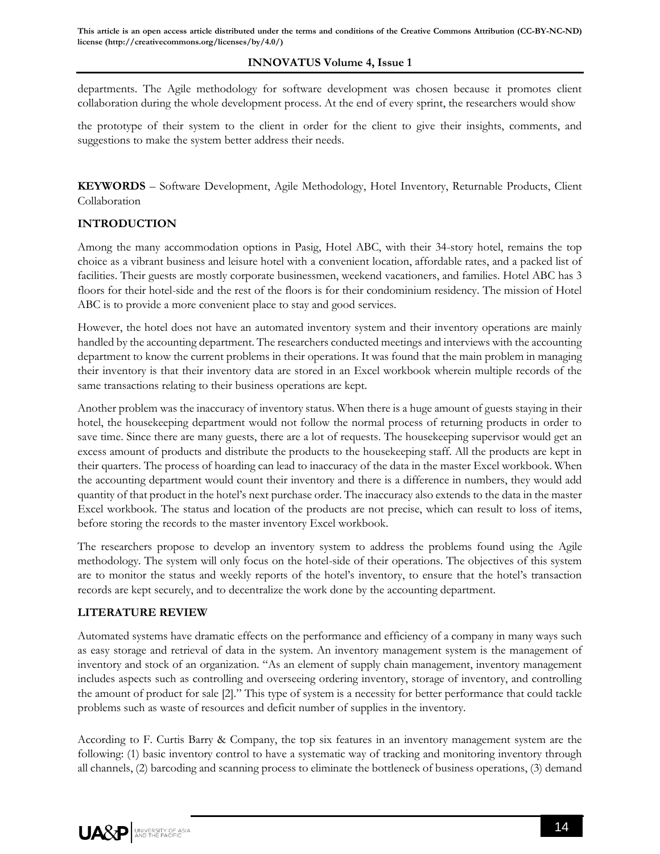**This article is an open access article distributed under the terms and conditions of the Creative Commons Attribution (CC-BY-NC-ND) license (http://creativecommons.org/licenses/by/4.0/)**

## **INNOVATUS Volume 4, Issue 1**

departments. The Agile methodology for software development was chosen because it promotes client collaboration during the whole development process. At the end of every sprint, the researchers would show

the prototype of their system to the client in order for the client to give their insights, comments, and suggestions to make the system better address their needs.

**KEYWORDS** – Software Development, Agile Methodology, Hotel Inventory, Returnable Products, Client Collaboration

## **INTRODUCTION**

Among the many accommodation options in Pasig, Hotel ABC, with their 34-story hotel, remains the top choice as a vibrant business and leisure hotel with a convenient location, affordable rates, and a packed list of facilities. Their guests are mostly corporate businessmen, weekend vacationers, and families. Hotel ABC has 3 floors for their hotel-side and the rest of the floors is for their condominium residency. The mission of Hotel ABC is to provide a more convenient place to stay and good services.

However, the hotel does not have an automated inventory system and their inventory operations are mainly handled by the accounting department. The researchers conducted meetings and interviews with the accounting department to know the current problems in their operations. It was found that the main problem in managing their inventory is that their inventory data are stored in an Excel workbook wherein multiple records of the same transactions relating to their business operations are kept.

Another problem was the inaccuracy of inventory status. When there is a huge amount of guests staying in their hotel, the housekeeping department would not follow the normal process of returning products in order to save time. Since there are many guests, there are a lot of requests. The housekeeping supervisor would get an excess amount of products and distribute the products to the housekeeping staff. All the products are kept in their quarters. The process of hoarding can lead to inaccuracy of the data in the master Excel workbook. When the accounting department would count their inventory and there is a difference in numbers, they would add quantity of that product in the hotel's next purchase order. The inaccuracy also extends to the data in the master Excel workbook. The status and location of the products are not precise, which can result to loss of items, before storing the records to the master inventory Excel workbook.

The researchers propose to develop an inventory system to address the problems found using the Agile methodology. The system will only focus on the hotel-side of their operations. The objectives of this system are to monitor the status and weekly reports of the hotel's inventory, to ensure that the hotel's transaction records are kept securely, and to decentralize the work done by the accounting department.

## **LITERATURE REVIEW**

Automated systems have dramatic effects on the performance and efficiency of a company in many ways such as easy storage and retrieval of data in the system. An inventory management system is the management of inventory and stock of an organization. "As an element of supply chain management, inventory management includes aspects such as controlling and overseeing ordering inventory, storage of inventory, and controlling the amount of product for sale [2]." This type of system is a necessity for better performance that could tackle problems such as waste of resources and deficit number of supplies in the inventory.

According to F. Curtis Barry & Company, the top six features in an inventory management system are the following: (1) basic inventory control to have a systematic way of tracking and monitoring inventory through all channels, (2) barcoding and scanning process to eliminate the bottleneck of business operations, (3) demand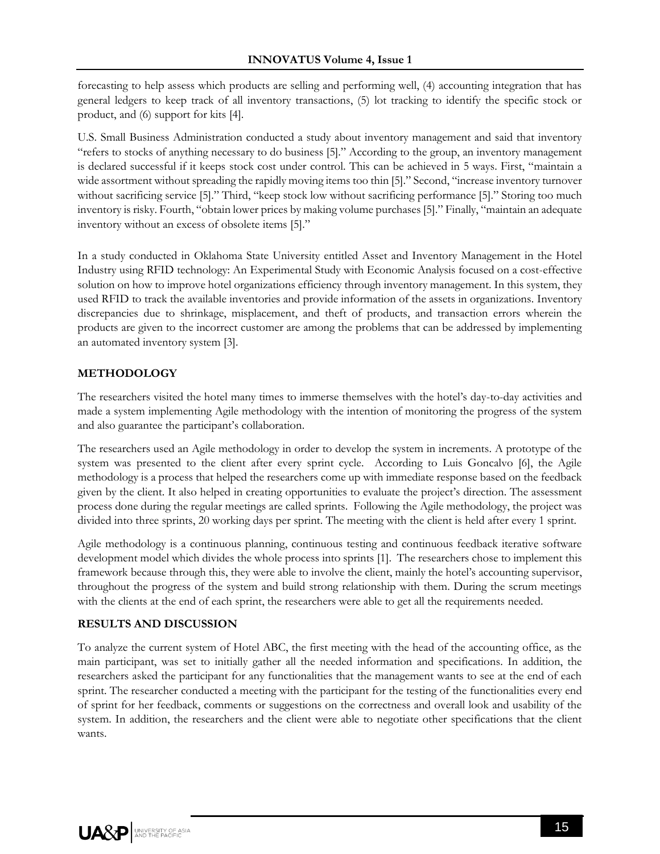forecasting to help assess which products are selling and performing well, (4) accounting integration that has general ledgers to keep track of all inventory transactions, (5) lot tracking to identify the specific stock or product, and (6) support for kits [4].

U.S. Small Business Administration conducted a study about inventory management and said that inventory "refers to stocks of anything necessary to do business [5]." According to the group, an inventory management is declared successful if it keeps stock cost under control. This can be achieved in 5 ways. First, "maintain a wide assortment without spreading the rapidly moving items too thin [5]." Second, "increase inventory turnover without sacrificing service [5]." Third, "keep stock low without sacrificing performance [5]." Storing too much inventory is risky. Fourth, "obtain lower prices by making volume purchases [5]." Finally, "maintain an adequate inventory without an excess of obsolete items [5]."

In a study conducted in Oklahoma State University entitled Asset and Inventory Management in the Hotel Industry using RFID technology: An Experimental Study with Economic Analysis focused on a cost-effective solution on how to improve hotel organizations efficiency through inventory management. In this system, they used RFID to track the available inventories and provide information of the assets in organizations. Inventory discrepancies due to shrinkage, misplacement, and theft of products, and transaction errors wherein the products are given to the incorrect customer are among the problems that can be addressed by implementing an automated inventory system [3].

## **METHODOLOGY**

The researchers visited the hotel many times to immerse themselves with the hotel's day-to-day activities and made a system implementing Agile methodology with the intention of monitoring the progress of the system and also guarantee the participant's collaboration.

The researchers used an Agile methodology in order to develop the system in increments. A prototype of the system was presented to the client after every sprint cycle. According to Luis Goncalvo [6], the Agile methodology is a process that helped the researchers come up with immediate response based on the feedback given by the client. It also helped in creating opportunities to evaluate the project's direction. The assessment process done during the regular meetings are called sprints. Following the Agile methodology, the project was divided into three sprints, 20 working days per sprint. The meeting with the client is held after every 1 sprint.

Agile methodology is a continuous planning, continuous testing and continuous feedback iterative software development model which divides the whole process into sprints [1]. The researchers chose to implement this framework because through this, they were able to involve the client, mainly the hotel's accounting supervisor, throughout the progress of the system and build strong relationship with them. During the scrum meetings with the clients at the end of each sprint, the researchers were able to get all the requirements needed.

## **RESULTS AND DISCUSSION**

To analyze the current system of Hotel ABC, the first meeting with the head of the accounting office, as the main participant, was set to initially gather all the needed information and specifications. In addition, the researchers asked the participant for any functionalities that the management wants to see at the end of each sprint. The researcher conducted a meeting with the participant for the testing of the functionalities every end of sprint for her feedback, comments or suggestions on the correctness and overall look and usability of the system. In addition, the researchers and the client were able to negotiate other specifications that the client wants.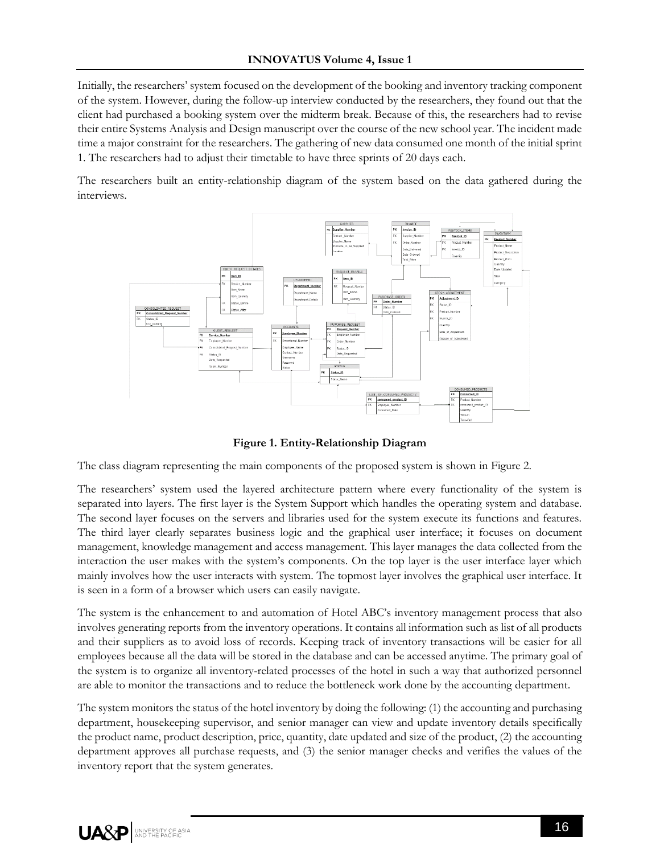Initially, the researchers' system focused on the development of the booking and inventory tracking component of the system. However, during the follow-up interview conducted by the researchers, they found out that the client had purchased a booking system over the midterm break. Because of this, the researchers had to revise their entire Systems Analysis and Design manuscript over the course of the new school year. The incident made time a major constraint for the researchers. The gathering of new data consumed one month of the initial sprint 1. The researchers had to adjust their timetable to have three sprints of 20 days each.

The researchers built an entity-relationship diagram of the system based on the data gathered during the interviews.



**Figure 1. Entity-Relationship Diagram**

The class diagram representing the main components of the proposed system is shown in Figure 2.

The researchers' system used the layered architecture pattern where every functionality of the system is separated into layers. The first layer is the System Support which handles the operating system and database. The second layer focuses on the servers and libraries used for the system execute its functions and features. The third layer clearly separates business logic and the graphical user interface; it focuses on document management, knowledge management and access management. This layer manages the data collected from the interaction the user makes with the system's components. On the top layer is the user interface layer which mainly involves how the user interacts with system. The topmost layer involves the graphical user interface. It is seen in a form of a browser which users can easily navigate.

The system is the enhancement to and automation of Hotel ABC's inventory management process that also involves generating reports from the inventory operations. It contains all information such as list of all products and their suppliers as to avoid loss of records. Keeping track of inventory transactions will be easier for all employees because all the data will be stored in the database and can be accessed anytime. The primary goal of the system is to organize all inventory-related processes of the hotel in such a way that authorized personnel are able to monitor the transactions and to reduce the bottleneck work done by the accounting department.

The system monitors the status of the hotel inventory by doing the following: (1) the accounting and purchasing department, housekeeping supervisor, and senior manager can view and update inventory details specifically the product name, product description, price, quantity, date updated and size of the product, (2) the accounting department approves all purchase requests, and (3) the senior manager checks and verifies the values of the inventory report that the system generates.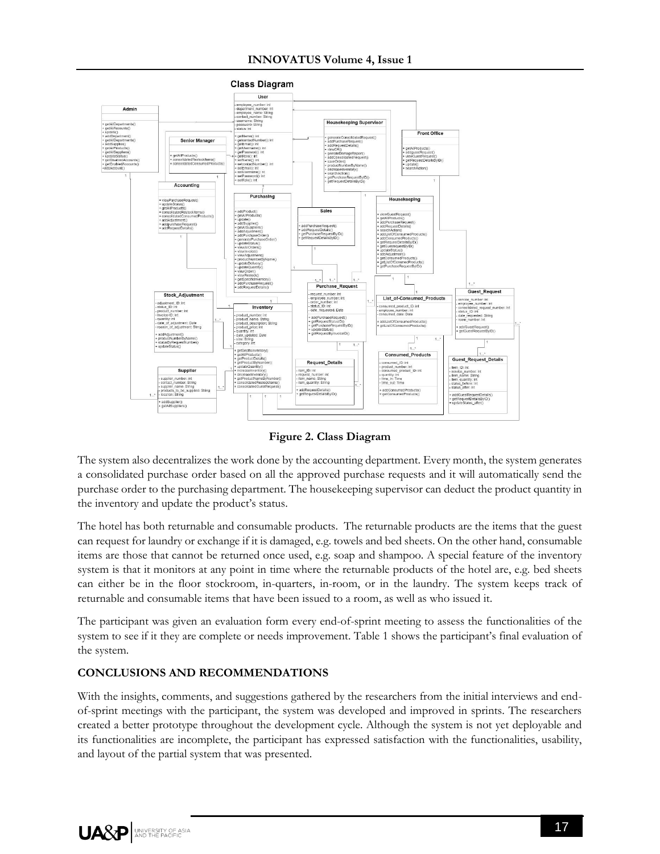

**Figure 2. Class Diagram**

The system also decentralizes the work done by the accounting department. Every month, the system generates a consolidated purchase order based on all the approved purchase requests and it will automatically send the purchase order to the purchasing department. The housekeeping supervisor can deduct the product quantity in the inventory and update the product's status.

The hotel has both returnable and consumable products. The returnable products are the items that the guest can request for laundry or exchange if it is damaged, e.g. towels and bed sheets. On the other hand, consumable items are those that cannot be returned once used, e.g. soap and shampoo. A special feature of the inventory system is that it monitors at any point in time where the returnable products of the hotel are, e.g. bed sheets can either be in the floor stockroom, in-quarters, in-room, or in the laundry. The system keeps track of returnable and consumable items that have been issued to a room, as well as who issued it.

The participant was given an evaluation form every end-of-sprint meeting to assess the functionalities of the system to see if it they are complete or needs improvement. Table 1 shows the participant's final evaluation of the system.

## **CONCLUSIONS AND RECOMMENDATIONS**

With the insights, comments, and suggestions gathered by the researchers from the initial interviews and endof-sprint meetings with the participant, the system was developed and improved in sprints. The researchers created a better prototype throughout the development cycle. Although the system is not yet deployable and its functionalities are incomplete, the participant has expressed satisfaction with the functionalities, usability, and layout of the partial system that was presented.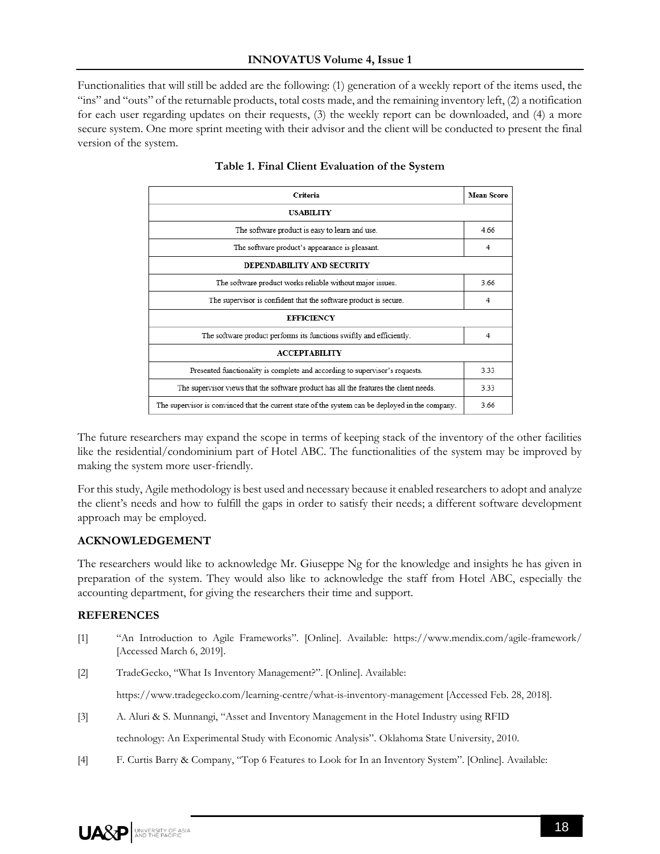Functionalities that will still be added are the following: (1) generation of a weekly report of the items used, the "ins" and "outs" of the returnable products, total costs made, and the remaining inventory left, (2) a notification for each user regarding updates on their requests, (3) the weekly report can be downloaded, and (4) a more secure system. One more sprint meeting with their advisor and the client will be conducted to present the final version of the system.

| Criteria                                                                                         | <b>Mean Score</b> |
|--------------------------------------------------------------------------------------------------|-------------------|
| <b>USABILITY</b>                                                                                 |                   |
| The software product is easy to learn and use.                                                   | 4.66              |
| The software product's appearance is pleasant.                                                   | 4                 |
| DEPENDABILITY AND SECURITY                                                                       |                   |
| The software product works reliable without major issues.                                        | 3.66              |
| The supervisor is confident that the software product is secure.                                 | 4                 |
| <b>EFFICIENCY</b>                                                                                |                   |
| The software product performs its functions swiftly and efficiently.                             | 4                 |
| <b>ACCEPTABILITY</b>                                                                             |                   |
| Presented functionality is complete and according to supervisor's requests.                      | 3.33              |
| The supervisor views that the software product has all the features the client needs.            | 3.33              |
| The supervisor is convinced that the current state of the system can be deployed in the company. | 3.66              |

## **Table 1. Final Client Evaluation of the System**

The future researchers may expand the scope in terms of keeping stack of the inventory of the other facilities like the residential/condominium part of Hotel ABC. The functionalities of the system may be improved by making the system more user-friendly.

For this study, Agile methodology is best used and necessary because it enabled researchers to adopt and analyze the client's needs and how to fulfill the gaps in order to satisfy their needs; a different software development approach may be employed.

## **ACKNOWLEDGEMENT**

The researchers would like to acknowledge Mr. Giuseppe Ng for the knowledge and insights he has given in preparation of the system. They would also like to acknowledge the staff from Hotel ABC, especially the accounting department, for giving the researchers their time and support.

#### **REFERENCES**

- [1] "An Introduction to Agile Frameworks". [Online]. Available: https://www.mendix.com/agile-framework/ [Accessed March 6, 2019].
- [2] TradeGecko, "What Is Inventory Management?". [Online]. Available:

https://www.tradegecko.com/learning-centre/what-is-inventory-management [Accessed Feb. 28, 2018].

[3] A. Aluri & S. Munnangi, "Asset and Inventory Management in the Hotel Industry using RFID

technology: An Experimental Study with Economic Analysis". Oklahoma State University, 2010.

[4] F. Curtis Barry & Company, "Top 6 Features to Look for In an Inventory System". [Online]. Available: